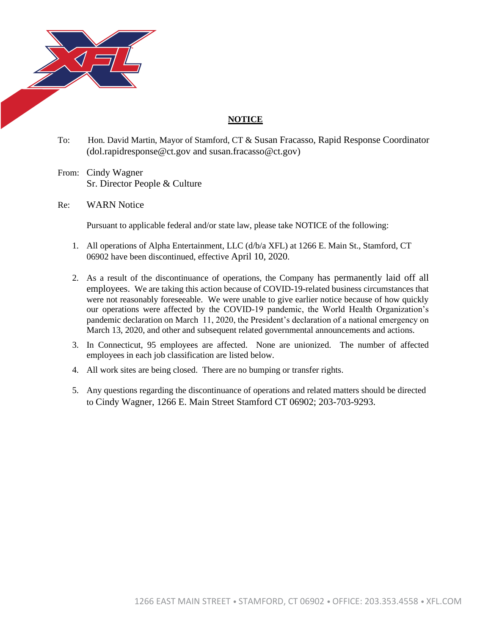

## **NOTICE**

To: Hon. David Martin, Mayor of Stamford, CT & Susan Fracasso, Rapid Response Coordinator (dol.rapidresponse@ct.gov and susan.fracasso@ct.gov)

From: Cindy Wagner Sr. Director People & Culture

Re: WARN Notice

Pursuant to applicable federal and/or state law, please take NOTICE of the following:

- 1. All operations of Alpha Entertainment, LLC (d/b/a XFL) at 1266 E. Main St., Stamford, CT 06902 have been discontinued, effective April 10, 2020.
- 2. As a result of the discontinuance of operations, the Company has permanently laid off all employees. We are taking this action because of COVID-19-related business circumstances that were not reasonably foreseeable. We were unable to give earlier notice because of how quickly our operations were affected by the COVID-19 pandemic, the World Health Organization's pandemic declaration on March 11, 2020, the President's declaration of a national emergency on March 13, 2020, and other and subsequent related governmental announcements and actions.
- 3. In Connecticut, 95 employees are affected. None are unionized. The number of affected employees in each job classification are listed below.
- 4. All work sites are being closed. There are no bumping or transfer rights.
- 5. Any questions regarding the discontinuance of operations and related matters should be directed to Cindy Wagner, 1266 E. Main Street Stamford CT 06902; 203-703-9293.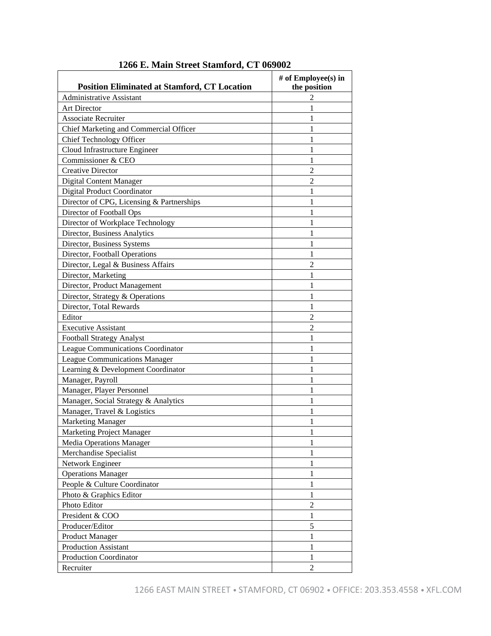| <b>Administrative Assistant</b><br>2<br><b>Art Director</b><br>1<br><b>Associate Recruiter</b><br>1<br>Chief Marketing and Commercial Officer<br>1<br><b>Chief Technology Officer</b><br>1<br>Cloud Infrastructure Engineer<br>1<br>Commissioner & CEO<br>1<br><b>Creative Director</b><br>$\overline{2}$<br><b>Digital Content Manager</b><br>$\overline{2}$<br><b>Digital Product Coordinator</b><br>1<br>Director of CPG, Licensing & Partnerships<br>1<br>Director of Football Ops<br>1<br>Director of Workplace Technology<br>1<br>Director, Business Analytics<br>1<br>Director, Business Systems<br>1<br>Director, Football Operations<br>1<br>Director, Legal & Business Affairs<br>2<br>Director, Marketing<br>1<br>Director, Product Management<br>1<br>Director, Strategy & Operations<br>1<br>Director, Total Rewards<br>1<br>Editor<br>2<br><b>Executive Assistant</b><br>$\overline{2}$<br><b>Football Strategy Analyst</b><br>1<br><b>League Communications Coordinator</b><br>1<br>League Communications Manager<br>1<br>Learning & Development Coordinator<br>1<br>Manager, Payroll<br>1<br>Manager, Player Personnel<br>1<br>Manager, Social Strategy & Analytics<br>1<br>Manager, Travel & Logistics<br>1<br><b>Marketing Manager</b><br>1<br>Marketing Project Manager<br>$\mathbf{1}$<br>1<br><b>Media Operations Manager</b><br>Merchandise Specialist<br>1<br>1<br>Network Engineer<br><b>Operations Manager</b><br>1<br>1<br>People & Culture Coordinator<br>1<br>Photo & Graphics Editor<br>$\overline{c}$<br>Photo Editor<br>President & COO<br>1<br>$\mathfrak s$<br>Producer/Editor<br><b>Product Manager</b><br>1<br><b>Production Assistant</b><br>$\mathbf{1}$<br><b>Production Coordinator</b><br>1<br>$\overline{2}$<br>Recruiter | <b>Position Eliminated at Stamford, CT Location</b> | # of Employee(s) in<br>the position |
|--------------------------------------------------------------------------------------------------------------------------------------------------------------------------------------------------------------------------------------------------------------------------------------------------------------------------------------------------------------------------------------------------------------------------------------------------------------------------------------------------------------------------------------------------------------------------------------------------------------------------------------------------------------------------------------------------------------------------------------------------------------------------------------------------------------------------------------------------------------------------------------------------------------------------------------------------------------------------------------------------------------------------------------------------------------------------------------------------------------------------------------------------------------------------------------------------------------------------------------------------------------------------------------------------------------------------------------------------------------------------------------------------------------------------------------------------------------------------------------------------------------------------------------------------------------------------------------------------------------------------------------------------------------------------------------------------------------------------------------------------------------------|-----------------------------------------------------|-------------------------------------|
|                                                                                                                                                                                                                                                                                                                                                                                                                                                                                                                                                                                                                                                                                                                                                                                                                                                                                                                                                                                                                                                                                                                                                                                                                                                                                                                                                                                                                                                                                                                                                                                                                                                                                                                                                                    |                                                     |                                     |
|                                                                                                                                                                                                                                                                                                                                                                                                                                                                                                                                                                                                                                                                                                                                                                                                                                                                                                                                                                                                                                                                                                                                                                                                                                                                                                                                                                                                                                                                                                                                                                                                                                                                                                                                                                    |                                                     |                                     |
|                                                                                                                                                                                                                                                                                                                                                                                                                                                                                                                                                                                                                                                                                                                                                                                                                                                                                                                                                                                                                                                                                                                                                                                                                                                                                                                                                                                                                                                                                                                                                                                                                                                                                                                                                                    |                                                     |                                     |
|                                                                                                                                                                                                                                                                                                                                                                                                                                                                                                                                                                                                                                                                                                                                                                                                                                                                                                                                                                                                                                                                                                                                                                                                                                                                                                                                                                                                                                                                                                                                                                                                                                                                                                                                                                    |                                                     |                                     |
|                                                                                                                                                                                                                                                                                                                                                                                                                                                                                                                                                                                                                                                                                                                                                                                                                                                                                                                                                                                                                                                                                                                                                                                                                                                                                                                                                                                                                                                                                                                                                                                                                                                                                                                                                                    |                                                     |                                     |
|                                                                                                                                                                                                                                                                                                                                                                                                                                                                                                                                                                                                                                                                                                                                                                                                                                                                                                                                                                                                                                                                                                                                                                                                                                                                                                                                                                                                                                                                                                                                                                                                                                                                                                                                                                    |                                                     |                                     |
|                                                                                                                                                                                                                                                                                                                                                                                                                                                                                                                                                                                                                                                                                                                                                                                                                                                                                                                                                                                                                                                                                                                                                                                                                                                                                                                                                                                                                                                                                                                                                                                                                                                                                                                                                                    |                                                     |                                     |
|                                                                                                                                                                                                                                                                                                                                                                                                                                                                                                                                                                                                                                                                                                                                                                                                                                                                                                                                                                                                                                                                                                                                                                                                                                                                                                                                                                                                                                                                                                                                                                                                                                                                                                                                                                    |                                                     |                                     |
|                                                                                                                                                                                                                                                                                                                                                                                                                                                                                                                                                                                                                                                                                                                                                                                                                                                                                                                                                                                                                                                                                                                                                                                                                                                                                                                                                                                                                                                                                                                                                                                                                                                                                                                                                                    |                                                     |                                     |
|                                                                                                                                                                                                                                                                                                                                                                                                                                                                                                                                                                                                                                                                                                                                                                                                                                                                                                                                                                                                                                                                                                                                                                                                                                                                                                                                                                                                                                                                                                                                                                                                                                                                                                                                                                    |                                                     |                                     |
|                                                                                                                                                                                                                                                                                                                                                                                                                                                                                                                                                                                                                                                                                                                                                                                                                                                                                                                                                                                                                                                                                                                                                                                                                                                                                                                                                                                                                                                                                                                                                                                                                                                                                                                                                                    |                                                     |                                     |
|                                                                                                                                                                                                                                                                                                                                                                                                                                                                                                                                                                                                                                                                                                                                                                                                                                                                                                                                                                                                                                                                                                                                                                                                                                                                                                                                                                                                                                                                                                                                                                                                                                                                                                                                                                    |                                                     |                                     |
|                                                                                                                                                                                                                                                                                                                                                                                                                                                                                                                                                                                                                                                                                                                                                                                                                                                                                                                                                                                                                                                                                                                                                                                                                                                                                                                                                                                                                                                                                                                                                                                                                                                                                                                                                                    |                                                     |                                     |
|                                                                                                                                                                                                                                                                                                                                                                                                                                                                                                                                                                                                                                                                                                                                                                                                                                                                                                                                                                                                                                                                                                                                                                                                                                                                                                                                                                                                                                                                                                                                                                                                                                                                                                                                                                    |                                                     |                                     |
|                                                                                                                                                                                                                                                                                                                                                                                                                                                                                                                                                                                                                                                                                                                                                                                                                                                                                                                                                                                                                                                                                                                                                                                                                                                                                                                                                                                                                                                                                                                                                                                                                                                                                                                                                                    |                                                     |                                     |
|                                                                                                                                                                                                                                                                                                                                                                                                                                                                                                                                                                                                                                                                                                                                                                                                                                                                                                                                                                                                                                                                                                                                                                                                                                                                                                                                                                                                                                                                                                                                                                                                                                                                                                                                                                    |                                                     |                                     |
|                                                                                                                                                                                                                                                                                                                                                                                                                                                                                                                                                                                                                                                                                                                                                                                                                                                                                                                                                                                                                                                                                                                                                                                                                                                                                                                                                                                                                                                                                                                                                                                                                                                                                                                                                                    |                                                     |                                     |
|                                                                                                                                                                                                                                                                                                                                                                                                                                                                                                                                                                                                                                                                                                                                                                                                                                                                                                                                                                                                                                                                                                                                                                                                                                                                                                                                                                                                                                                                                                                                                                                                                                                                                                                                                                    |                                                     |                                     |
|                                                                                                                                                                                                                                                                                                                                                                                                                                                                                                                                                                                                                                                                                                                                                                                                                                                                                                                                                                                                                                                                                                                                                                                                                                                                                                                                                                                                                                                                                                                                                                                                                                                                                                                                                                    |                                                     |                                     |
|                                                                                                                                                                                                                                                                                                                                                                                                                                                                                                                                                                                                                                                                                                                                                                                                                                                                                                                                                                                                                                                                                                                                                                                                                                                                                                                                                                                                                                                                                                                                                                                                                                                                                                                                                                    |                                                     |                                     |
|                                                                                                                                                                                                                                                                                                                                                                                                                                                                                                                                                                                                                                                                                                                                                                                                                                                                                                                                                                                                                                                                                                                                                                                                                                                                                                                                                                                                                                                                                                                                                                                                                                                                                                                                                                    |                                                     |                                     |
|                                                                                                                                                                                                                                                                                                                                                                                                                                                                                                                                                                                                                                                                                                                                                                                                                                                                                                                                                                                                                                                                                                                                                                                                                                                                                                                                                                                                                                                                                                                                                                                                                                                                                                                                                                    |                                                     |                                     |
|                                                                                                                                                                                                                                                                                                                                                                                                                                                                                                                                                                                                                                                                                                                                                                                                                                                                                                                                                                                                                                                                                                                                                                                                                                                                                                                                                                                                                                                                                                                                                                                                                                                                                                                                                                    |                                                     |                                     |
|                                                                                                                                                                                                                                                                                                                                                                                                                                                                                                                                                                                                                                                                                                                                                                                                                                                                                                                                                                                                                                                                                                                                                                                                                                                                                                                                                                                                                                                                                                                                                                                                                                                                                                                                                                    |                                                     |                                     |
|                                                                                                                                                                                                                                                                                                                                                                                                                                                                                                                                                                                                                                                                                                                                                                                                                                                                                                                                                                                                                                                                                                                                                                                                                                                                                                                                                                                                                                                                                                                                                                                                                                                                                                                                                                    |                                                     |                                     |
|                                                                                                                                                                                                                                                                                                                                                                                                                                                                                                                                                                                                                                                                                                                                                                                                                                                                                                                                                                                                                                                                                                                                                                                                                                                                                                                                                                                                                                                                                                                                                                                                                                                                                                                                                                    |                                                     |                                     |
|                                                                                                                                                                                                                                                                                                                                                                                                                                                                                                                                                                                                                                                                                                                                                                                                                                                                                                                                                                                                                                                                                                                                                                                                                                                                                                                                                                                                                                                                                                                                                                                                                                                                                                                                                                    |                                                     |                                     |
|                                                                                                                                                                                                                                                                                                                                                                                                                                                                                                                                                                                                                                                                                                                                                                                                                                                                                                                                                                                                                                                                                                                                                                                                                                                                                                                                                                                                                                                                                                                                                                                                                                                                                                                                                                    |                                                     |                                     |
|                                                                                                                                                                                                                                                                                                                                                                                                                                                                                                                                                                                                                                                                                                                                                                                                                                                                                                                                                                                                                                                                                                                                                                                                                                                                                                                                                                                                                                                                                                                                                                                                                                                                                                                                                                    |                                                     |                                     |
|                                                                                                                                                                                                                                                                                                                                                                                                                                                                                                                                                                                                                                                                                                                                                                                                                                                                                                                                                                                                                                                                                                                                                                                                                                                                                                                                                                                                                                                                                                                                                                                                                                                                                                                                                                    |                                                     |                                     |
|                                                                                                                                                                                                                                                                                                                                                                                                                                                                                                                                                                                                                                                                                                                                                                                                                                                                                                                                                                                                                                                                                                                                                                                                                                                                                                                                                                                                                                                                                                                                                                                                                                                                                                                                                                    |                                                     |                                     |
|                                                                                                                                                                                                                                                                                                                                                                                                                                                                                                                                                                                                                                                                                                                                                                                                                                                                                                                                                                                                                                                                                                                                                                                                                                                                                                                                                                                                                                                                                                                                                                                                                                                                                                                                                                    |                                                     |                                     |
|                                                                                                                                                                                                                                                                                                                                                                                                                                                                                                                                                                                                                                                                                                                                                                                                                                                                                                                                                                                                                                                                                                                                                                                                                                                                                                                                                                                                                                                                                                                                                                                                                                                                                                                                                                    |                                                     |                                     |
|                                                                                                                                                                                                                                                                                                                                                                                                                                                                                                                                                                                                                                                                                                                                                                                                                                                                                                                                                                                                                                                                                                                                                                                                                                                                                                                                                                                                                                                                                                                                                                                                                                                                                                                                                                    |                                                     |                                     |
|                                                                                                                                                                                                                                                                                                                                                                                                                                                                                                                                                                                                                                                                                                                                                                                                                                                                                                                                                                                                                                                                                                                                                                                                                                                                                                                                                                                                                                                                                                                                                                                                                                                                                                                                                                    |                                                     |                                     |
|                                                                                                                                                                                                                                                                                                                                                                                                                                                                                                                                                                                                                                                                                                                                                                                                                                                                                                                                                                                                                                                                                                                                                                                                                                                                                                                                                                                                                                                                                                                                                                                                                                                                                                                                                                    |                                                     |                                     |
|                                                                                                                                                                                                                                                                                                                                                                                                                                                                                                                                                                                                                                                                                                                                                                                                                                                                                                                                                                                                                                                                                                                                                                                                                                                                                                                                                                                                                                                                                                                                                                                                                                                                                                                                                                    |                                                     |                                     |
|                                                                                                                                                                                                                                                                                                                                                                                                                                                                                                                                                                                                                                                                                                                                                                                                                                                                                                                                                                                                                                                                                                                                                                                                                                                                                                                                                                                                                                                                                                                                                                                                                                                                                                                                                                    |                                                     |                                     |
|                                                                                                                                                                                                                                                                                                                                                                                                                                                                                                                                                                                                                                                                                                                                                                                                                                                                                                                                                                                                                                                                                                                                                                                                                                                                                                                                                                                                                                                                                                                                                                                                                                                                                                                                                                    |                                                     |                                     |
|                                                                                                                                                                                                                                                                                                                                                                                                                                                                                                                                                                                                                                                                                                                                                                                                                                                                                                                                                                                                                                                                                                                                                                                                                                                                                                                                                                                                                                                                                                                                                                                                                                                                                                                                                                    |                                                     |                                     |
|                                                                                                                                                                                                                                                                                                                                                                                                                                                                                                                                                                                                                                                                                                                                                                                                                                                                                                                                                                                                                                                                                                                                                                                                                                                                                                                                                                                                                                                                                                                                                                                                                                                                                                                                                                    |                                                     |                                     |
|                                                                                                                                                                                                                                                                                                                                                                                                                                                                                                                                                                                                                                                                                                                                                                                                                                                                                                                                                                                                                                                                                                                                                                                                                                                                                                                                                                                                                                                                                                                                                                                                                                                                                                                                                                    |                                                     |                                     |
|                                                                                                                                                                                                                                                                                                                                                                                                                                                                                                                                                                                                                                                                                                                                                                                                                                                                                                                                                                                                                                                                                                                                                                                                                                                                                                                                                                                                                                                                                                                                                                                                                                                                                                                                                                    |                                                     |                                     |
|                                                                                                                                                                                                                                                                                                                                                                                                                                                                                                                                                                                                                                                                                                                                                                                                                                                                                                                                                                                                                                                                                                                                                                                                                                                                                                                                                                                                                                                                                                                                                                                                                                                                                                                                                                    |                                                     |                                     |
|                                                                                                                                                                                                                                                                                                                                                                                                                                                                                                                                                                                                                                                                                                                                                                                                                                                                                                                                                                                                                                                                                                                                                                                                                                                                                                                                                                                                                                                                                                                                                                                                                                                                                                                                                                    |                                                     |                                     |
|                                                                                                                                                                                                                                                                                                                                                                                                                                                                                                                                                                                                                                                                                                                                                                                                                                                                                                                                                                                                                                                                                                                                                                                                                                                                                                                                                                                                                                                                                                                                                                                                                                                                                                                                                                    |                                                     |                                     |

## **1266 E. Main Street Stamford, CT 069002**